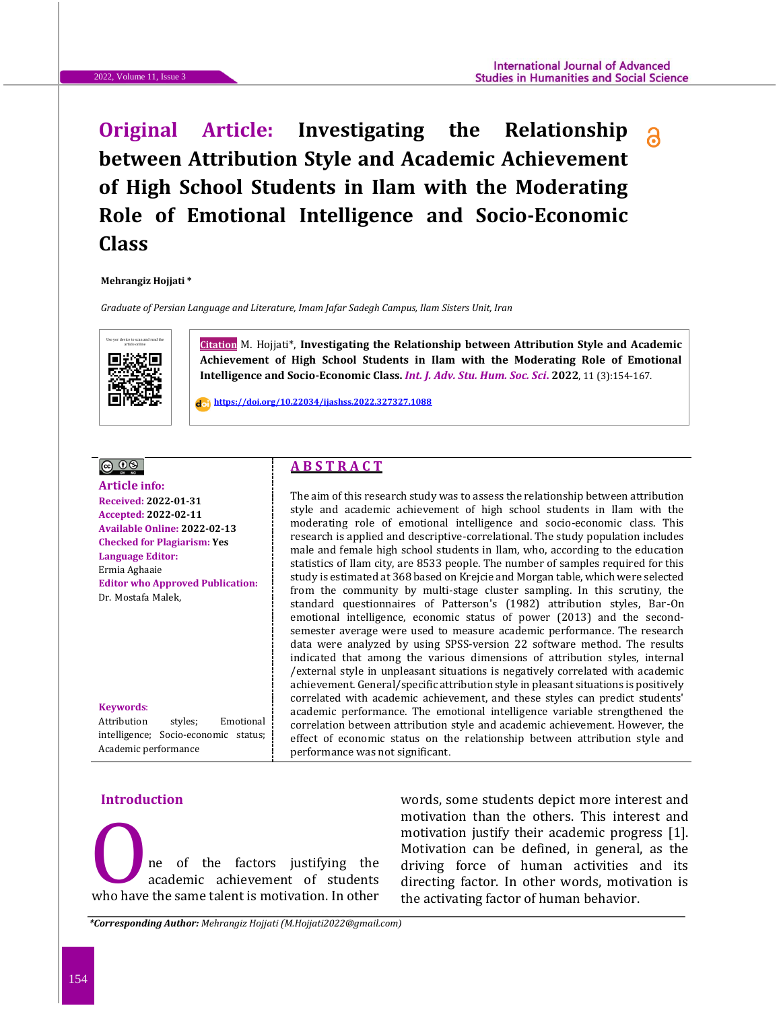# **Original Article: Investigating the Relationship a between Attribution Style and Academic Achievement of High School Students in Ilam with the Moderating Role of Emotional Intelligence and Socio-Economic Class**

**Mehrangiz Hojjati \***

*Graduate of Persian Language and Literature, Imam Jafar Sadegh Campus, Ilam Sisters Unit, Iran*



**Citation** M. Hojjati\*, Investigating the Relationship between Attribution Style and Academic **Achievement of High School Students in Ilam with the Moderating Role of Emotional Intelligence and Socio-Economic Class.** *Int. J. Adv. Stu. Hum. Soc. Sci***. 2022**, 11 (3):154-167.

 **<https://doi.org/10.22034/ijashss.2022.327327.1088>**

# 

**Article info: Received: 2022-01-31 Accepted: 2022-02-11 Available Online: 2022-02-13 Checked for Plagiarism: Yes Language Editor:**  Ermia Aghaaie **Editor who Approved Publication:**  Dr. [Mostafa](http://www.ijashss.com/journal/editorial.board?edbc=8091) Malek,

**Keywords**: Attribution styles; Emotional intelligence; Socio-economic status; Academic performance

# **A B S T R A C T**

The aim of this research study was to assess the relationship between attribution style and academic achievement of high school students in Ilam with the moderating role of emotional intelligence and socio-economic class. This research is applied and descriptive-correlational. The study population includes male and female high school students in Ilam, who, according to the education statistics of Ilam city, are 8533 people. The number of samples required for this study is estimated at 368 based on Krejcie and Morgan table, which were selected from the community by multi-stage cluster sampling. In this scrutiny, the standard questionnaires of Patterson's (1982) attribution styles, Bar-On emotional intelligence, economic status of power (2013) and the secondsemester average were used to measure academic performance. The research data were analyzed by using SPSS-version 22 software method. The results indicated that among the various dimensions of attribution styles, internal /external style in unpleasant situations is negatively correlated with academic achievement. General/specific attribution style in pleasant situations is positively correlated with academic achievement, and these styles can predict students' academic performance. The emotional intelligence variable strengthened the correlation between attribution style and academic achievement. However, the effect of economic status on the relationship between attribution style and performance was not significant.

# **Introduction**

ne of the factors justifying the academic achievement of students who have the same talent is motivation. In other

words, some students depict more interest and motivation than the others. This interest and motivation justify their academic progress [1]. Motivation can be defined, in general, as the driving force of human activities and its motivation than the others. This interest and<br>motivation justify their academic progress [1].<br>Motivation can be defined, in general, as the<br>academic achievement of students<br>who have the same talent is motivation. In other the activating factor of human behavior.

*\*Corresponding Author: Mehrangiz Hojjati (M.Hojjati2022@gmail.com)*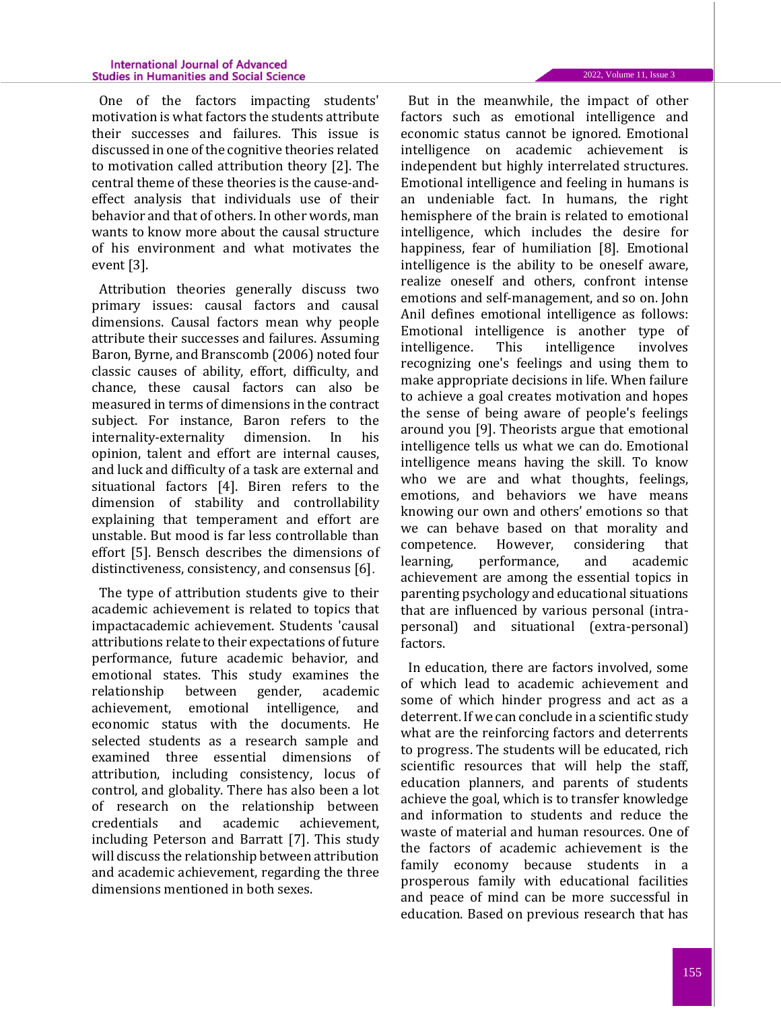One of the factors impacting students' motivation is what factors the students attribute their successes and failures. This issue is discussed in one of the cognitive theories related to motivation called attribution theory [2]. The central theme of these theories is the cause-andeffect analysis that individuals use of their behavior and that of others. In other words, man wants to know more about the causal structure of his environment and what motivates the event [3].

Attribution theories generally discuss two primary issues: causal factors and causal dimensions. Causal factors mean why people attribute their successes and failures. Assuming Baron, Byrne, and Branscomb (2006) noted four classic causes of ability, effort, difficulty, and chance, these causal factors can also be measured in terms of dimensions in the contract subject. For instance, Baron refers to the internality-externality dimension. In his opinion, talent and effort are internal causes, and luck and difficulty of a task are external and situational factors [4]. Biren refers to the dimension of stability and controllability explaining that temperament and effort are unstable. But mood is far less controllable than effort [5]. Bensch describes the dimensions of distinctiveness, consistency, and consensus [6].

The type of attribution students give to their academic achievement is related to topics that impactacademic achievement. Students 'causal attributions relate to their expectations of future performance, future academic behavior, and emotional states. This study examines the relationship between gender, academic achievement, emotional intelligence, and economic status with the documents. He selected students as a research sample and examined three essential dimensions of attribution, including consistency, locus of control, and globality. There has also been a lot of research on the relationship between credentials and academic achievement, including Peterson and Barratt [7]. This study will discuss the relationship between attribution and academic achievement, regarding the three dimensions mentioned in both sexes.

But in the meanwhile, the impact of other factors such as emotional intelligence and economic status cannot be ignored. Emotional intelligence on academic achievement is independent but highly interrelated structures. Emotional intelligence and feeling in humans is an undeniable fact. In humans, the right hemisphere of the brain is related to emotional intelligence, which includes the desire for happiness, fear of humiliation [8]. Emotional intelligence is the ability to be oneself aware, realize oneself and others, confront intense emotions and self-management, and so on. John Anil defines emotional intelligence as follows: Emotional intelligence is another type of intelligence. This intelligence involves recognizing one's feelings and using them to make appropriate decisions in life. When failure to achieve a goal creates motivation and hopes the sense of being aware of people's feelings around you [9]. Theorists argue that emotional intelligence tells us what we can do. Emotional intelligence means having the skill. To know who we are and what thoughts, feelings, emotions, and behaviors we have means knowing our own and others' emotions so that we can behave based on that morality and competence. However, considering that learning, performance, and academic achievement are among the essential topics in parenting psychology and educational situations that are influenced by various personal (intrapersonal) and situational (extra-personal) factors.

In education, there are factors involved, some of which lead to academic achievement and some of which hinder progress and act as a deterrent. If we can conclude in a scientific study what are the reinforcing factors and deterrents to progress. The students will be educated, rich scientific resources that will help the staff, education planners, and parents of students achieve the goal, which is to transfer knowledge and information to students and reduce the waste of material and human resources. One of the factors of academic achievement is the family economy because students in a prosperous family with educational facilities and peace of mind can be more successful in education. Based on previous research that has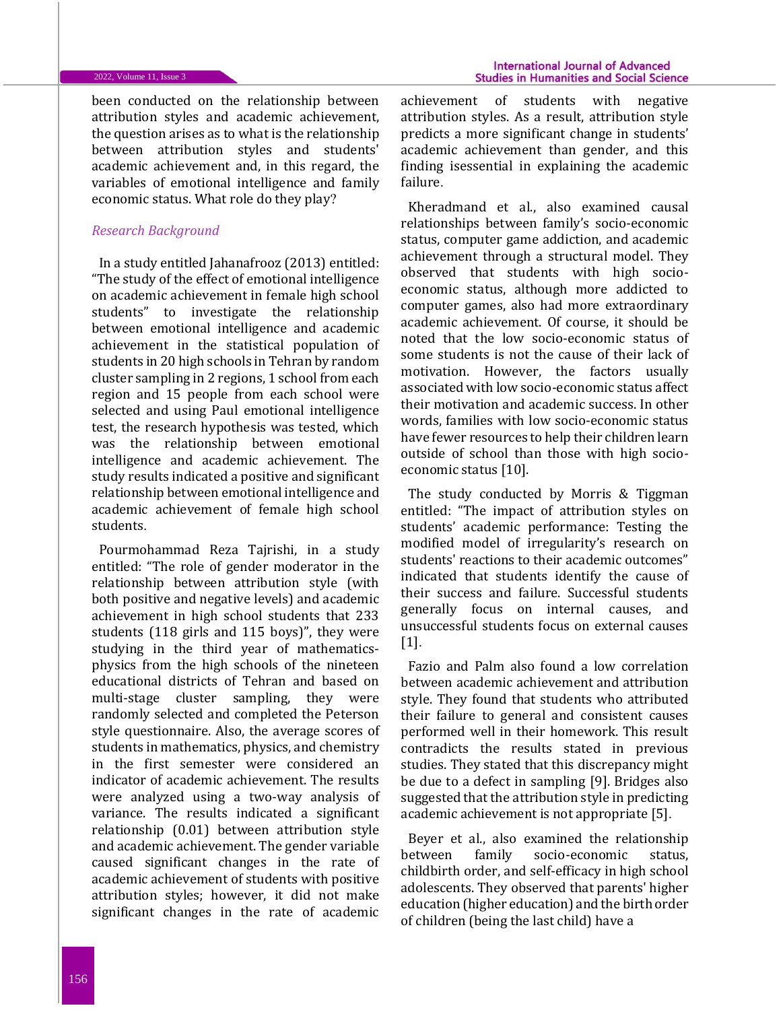#### 2022, Volume 11, Issue 3

been conducted on the relationship between attribution styles and academic achievement, the question arises as to what is the relationship between attribution styles and students' academic achievement and, in this regard, the variables of emotional intelligence and family economic status. What role do they play?

## *Research Background*

In a study entitled Jahanafrooz (2013) entitled: "The study of the effect of emotional intelligence on academic achievement in female high school students" to investigate the relationship between emotional intelligence and academic achievement in the statistical population of students in 20 high schools in Tehran by random cluster sampling in 2 regions, 1 school from each region and 15 people from each school were selected and using Paul emotional intelligence test, the research hypothesis was tested, which was the relationship between emotional intelligence and academic achievement. The study results indicated a positive and significant relationship between emotional intelligence and academic achievement of female high school students.

Pourmohammad Reza Tajrishi, in a study entitled: "The role of gender moderator in the relationship between attribution style (with both positive and negative levels) and academic achievement in high school students that 233 students (118 girls and 115 boys)", they were studying in the third year of mathematicsphysics from the high schools of the nineteen educational districts of Tehran and based on multi-stage cluster sampling, they were randomly selected and completed the Peterson style questionnaire. Also, the average scores of students in mathematics, physics, and chemistry in the first semester were considered an indicator of academic achievement. The results were analyzed using a two-way analysis of variance. The results indicated a significant relationship (0.01) between attribution style and academic achievement. The gender variable caused significant changes in the rate of academic achievement of students with positive attribution styles; however, it did not make significant changes in the rate of academic

achievement of students with negative attribution styles. As a result, attribution style predicts a more significant change in students' academic achievement than gender, and this finding isessential in explaining the academic failure.

Kheradmand et al., also examined causal relationships between family's socio-economic status, computer game addiction, and academic achievement through a structural model. They observed that students with high socioeconomic status, although more addicted to computer games, also had more extraordinary academic achievement. Of course, it should be noted that the low socio-economic status of some students is not the cause of their lack of motivation. However, the factors usually associated with low socio-economic status affect their motivation and academic success. In other words, families with low socio-economic status have fewer resources to help their children learn outside of school than those with high socioeconomic status [10].

The study conducted by Morris & Tiggman entitled: "The impact of attribution styles on students' academic performance: Testing the modified model of irregularity's research on students' reactions to their academic outcomes" indicated that students identify the cause of their success and failure. Successful students generally focus on internal causes, and unsuccessful students focus on external causes [1].

Fazio and Palm also found a low correlation between academic achievement and attribution style. They found that students who attributed their failure to general and consistent causes performed well in their homework. This result contradicts the results stated in previous studies. They stated that this discrepancy might be due to a defect in sampling [9]. Bridges also suggested that the attribution style in predicting academic achievement is not appropriate [5].

Beyer et al., also examined the relationship between family socio-economic status, childbirth order, and self-efficacy in high school adolescents. They observed that parents' higher education (higher education) and the birth order of children (being the last child) have a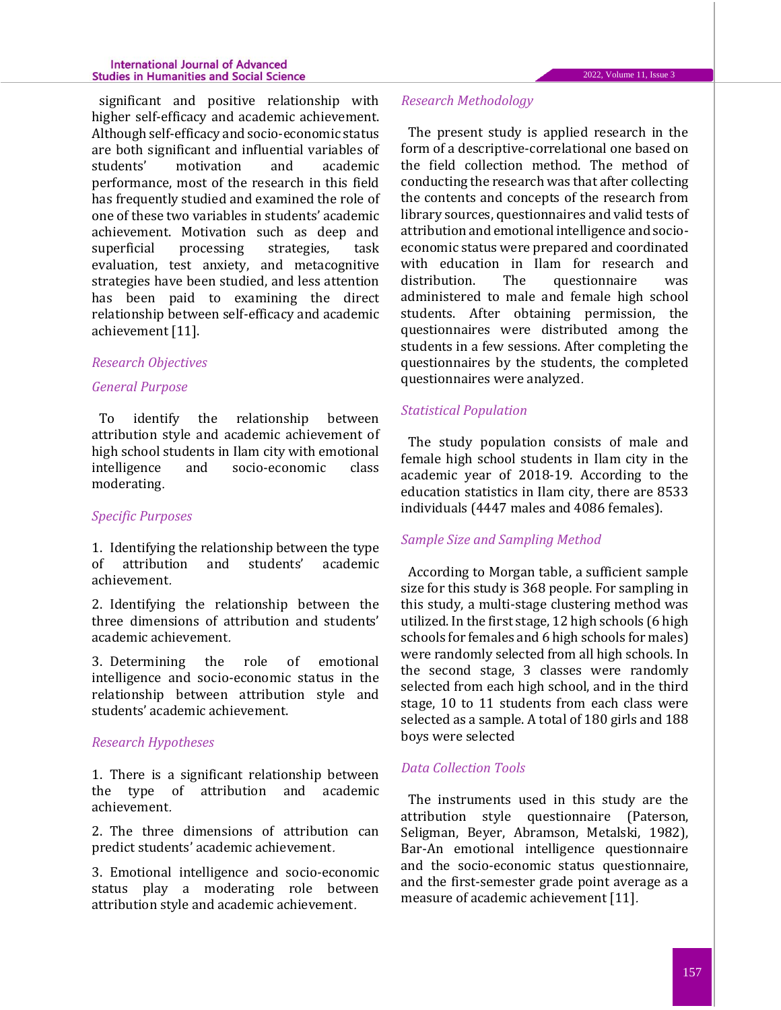significant and positive relationship with higher self-efficacy and academic achievement. Although self-efficacy and socio-economic status are both significant and influential variables of students' motivation and academic performance, most of the research in this field has frequently studied and examined the role of one of these two variables in students' academic achievement. Motivation such as deep and superficial processing strategies, task evaluation, test anxiety, and metacognitive strategies have been studied, and less attention has been paid to examining the direct relationship between self-efficacy and academic achievement [11].

# *Research Objectives*

## *General Purpose*

To identify the relationship between attribution style and academic achievement of high school students in Ilam city with emotional intelligence and socio-economic class moderating.

# *Specific Purposes*

1. Identifying the relationship between the type of attribution and students' academic achievement.

2. Identifying the relationship between the three dimensions of attribution and students' academic achievement.

3. Determining the role of emotional intelligence and socio-economic status in the relationship between attribution style and students' academic achievement.

# *Research Hypotheses*

1. There is a significant relationship between the type of attribution and academic achievement.

2. The three dimensions of attribution can predict students' academic achievement.

3. Emotional intelligence and socio-economic status play a moderating role between attribution style and academic achievement.

#### *Research Methodology*

The present study is applied research in the form of a descriptive-correlational one based on the field collection method. The method of conducting the research was that after collecting the contents and concepts of the research from library sources, questionnaires and valid tests of attribution and emotional intelligence and socioeconomic status were prepared and coordinated with education in Ilam for research and distribution. The questionnaire was administered to male and female high school students. After obtaining permission, the questionnaires were distributed among the students in a few sessions. After completing the questionnaires by the students, the completed questionnaires were analyzed.

# *Statistical Population*

The study population consists of male and female high school students in Ilam city in the academic year of 2018-19. According to the education statistics in Ilam city, there are 8533 individuals (4447 males and 4086 females).

# *Sample Size and Sampling Method*

According to Morgan table, a sufficient sample size for this study is 368 people. For sampling in this study, a multi-stage clustering method was utilized. In the first stage, 12 high schools (6 high schools for females and 6 high schools for males) were randomly selected from all high schools. In the second stage, 3 classes were randomly selected from each high school, and in the third stage, 10 to 11 students from each class were selected as a sample. A total of 180 girls and 188 boys were selected

# *Data Collection Tools*

The instruments used in this study are the attribution style questionnaire (Paterson, Seligman, Beyer, Abramson, Metalski, 1982), Bar-An emotional intelligence questionnaire and the socio-economic status questionnaire, and the first-semester grade point average as a measure of academic achievement [11].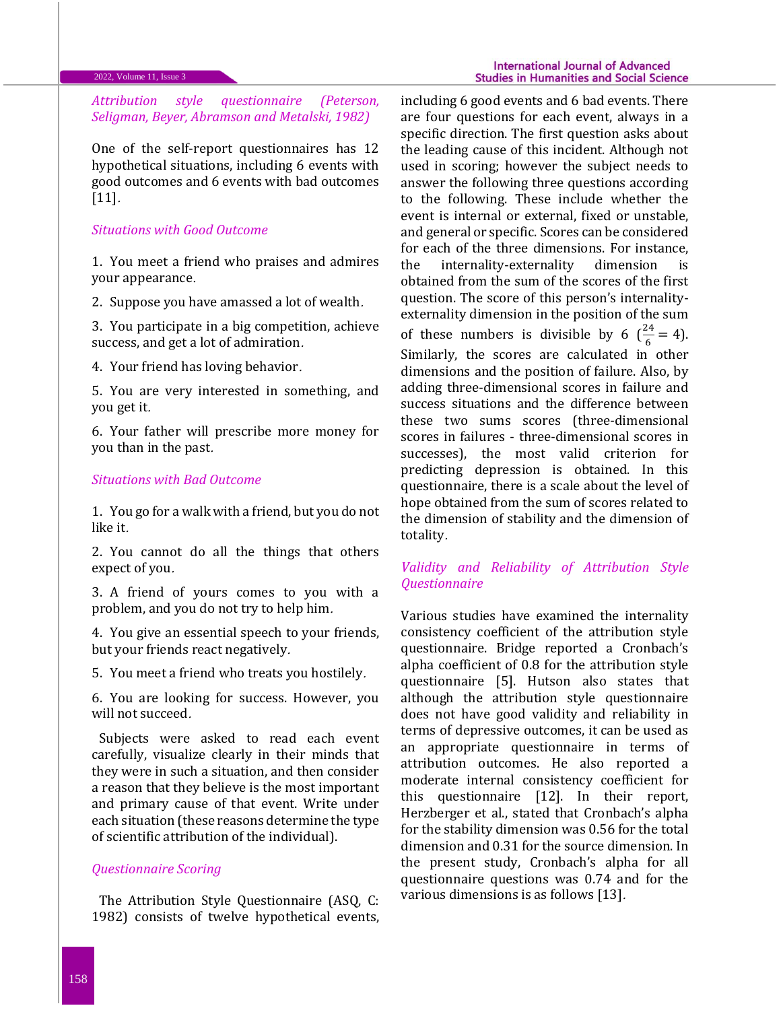# *Attribution style questionnaire (Peterson, Seligman, Beyer, Abramson and Metalski, 1982)*

One of the self-report questionnaires has 12 hypothetical situations, including 6 events with good outcomes and 6 events with bad outcomes [11].

# *Situations with Good Outcome*

1. You meet a friend who praises and admires your appearance.

2. Suppose you have amassed a lot of wealth.

3. You participate in a big competition, achieve success, and get a lot of admiration.

4. Your friend has loving behavior.

5. You are very interested in something, and you get it.

6. Your father will prescribe more money for you than in the past.

## *Situations with Bad Outcome*

1. You go for a walk with a friend, but you do not like it.

2. You cannot do all the things that others expect of you.

3. A friend of yours comes to you with a problem, and you do not try to help him.

4. You give an essential speech to your friends, but your friends react negatively.

5. You meet a friend who treats you hostilely.

6. You are looking for success. However, you will not succeed.

Subjects were asked to read each event carefully, visualize clearly in their minds that they were in such a situation, and then consider a reason that they believe is the most important and primary cause of that event. Write under each situation (these reasons determine the type of scientific attribution of the individual).

# *Questionnaire Scoring*

The Attribution Style Questionnaire (ASQ, C: 1982) consists of twelve hypothetical events, including 6 good events and 6 bad events. There are four questions for each event, always in a specific direction. The first question asks about the leading cause of this incident. Although not used in scoring; however the subject needs to answer the following three questions according to the following. These include whether the event is internal or external, fixed or unstable, and general or specific. Scores can be considered for each of the three dimensions. For instance, the internality-externality dimension is obtained from the sum of the scores of the first question. The score of this person's internalityexternality dimension in the position of the sum of these numbers is divisible by 6  $(\frac{24}{6} = 4)$ . Similarly, the scores are calculated in other dimensions and the position of failure. Also, by adding three-dimensional scores in failure and success situations and the difference between these two sums scores (three-dimensional scores in failures - three-dimensional scores in successes), the most valid criterion for predicting depression is obtained. In this questionnaire, there is a scale about the level of hope obtained from the sum of scores related to the dimension of stability and the dimension of totality.

# *Validity and Reliability of Attribution Style Questionnaire*

Various studies have examined the internality consistency coefficient of the attribution style questionnaire. Bridge reported a Cronbach's alpha coefficient of 0.8 for the attribution style questionnaire [5]. Hutson also states that although the attribution style questionnaire does not have good validity and reliability in terms of depressive outcomes, it can be used as an appropriate questionnaire in terms of attribution outcomes. He also reported a moderate internal consistency coefficient for this questionnaire [12]. In their report, Herzberger et al., stated that Cronbach's alpha for the stability dimension was 0.56 for the total dimension and 0.31 for the source dimension. In the present study, Cronbach's alpha for all questionnaire questions was 0.74 and for the various dimensions is as follows [13].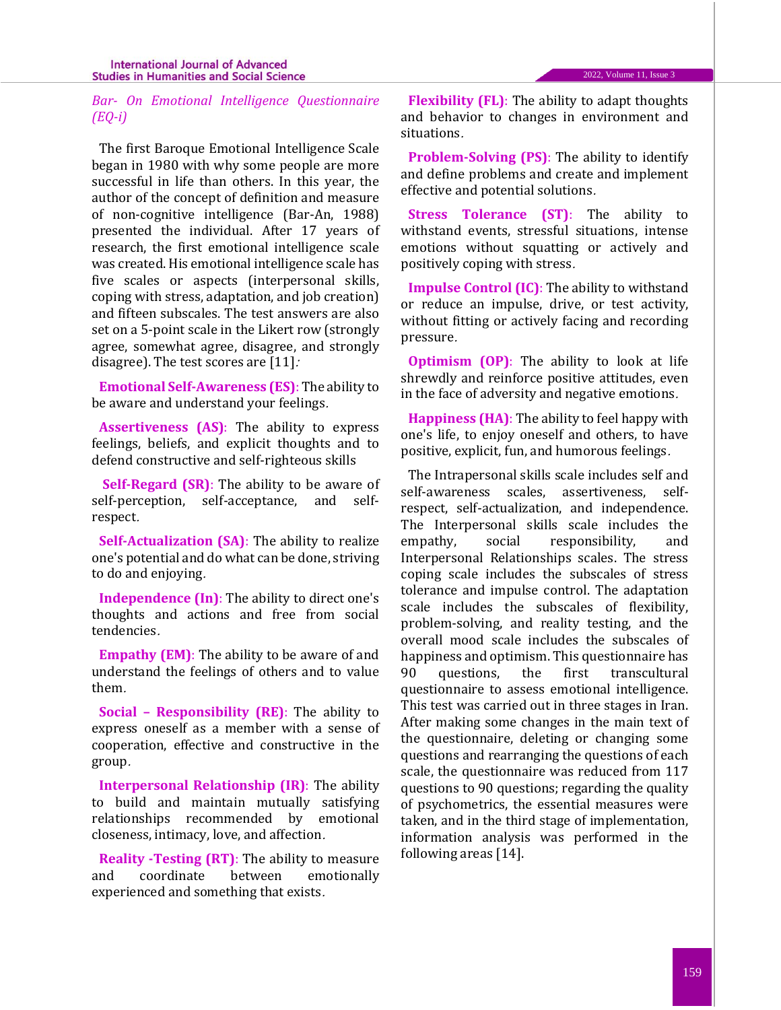# *Bar- On Emotional Intelligence Questionnaire (EQ-i)*

The first Baroque Emotional Intelligence Scale began in 1980 with why some people are more successful in life than others. In this year, the author of the concept of definition and measure of non-cognitive intelligence (Bar-An, 1988) presented the individual. After 17 years of research, the first emotional intelligence scale was created. His emotional intelligence scale has five scales or aspects (interpersonal skills, coping with stress, adaptation, and job creation) and fifteen subscales. The test answers are also set on a 5-point scale in the Likert row (strongly agree, somewhat agree, disagree, and strongly disagree). The test scores are  $[11]$ :

**Emotional Self-Awareness (ES)**: The ability to be aware and understand your feelings.

**Assertiveness (AS)**: The ability to express feelings, beliefs, and explicit thoughts and to defend constructive and self-righteous skills

**Self-Regard (SR)**: The ability to be aware of self-perception, self-acceptance, and selfrespect.

**Self-Actualization (SA)**: The ability to realize one's potential and do what can be done, striving to do and enjoying.

**Independence (In)**: The ability to direct one's thoughts and actions and free from social tendencies.

**Empathy (EM)**: The ability to be aware of and understand the feelings of others and to value them.

**Social – Responsibility (RE)**: The ability to express oneself as a member with a sense of cooperation, effective and constructive in the group.

**Interpersonal Relationship (IR)**: The ability to build and maintain mutually satisfying relationships recommended by emotional closeness, intimacy, love, and affection.

**Reality -Testing (RT)**: The ability to measure and coordinate between emotionally experienced and something that exists.

**Flexibility (FL)**: The ability to adapt thoughts and behavior to changes in environment and situations.

**Problem-Solving (PS)**: The ability to identify and define problems and create and implement effective and potential solutions.

**Stress Tolerance (ST)**: The ability to withstand events, stressful situations, intense emotions without squatting or actively and positively coping with stress.

**Impulse Control (IC)**: The ability to withstand or reduce an impulse, drive, or test activity, without fitting or actively facing and recording pressure.

**Optimism (OP)**: The ability to look at life shrewdly and reinforce positive attitudes, even in the face of adversity and negative emotions.

**Happiness (HA)**: The ability to feel happy with one's life, to enjoy oneself and others, to have positive, explicit, fun, and humorous feelings.

The Intrapersonal skills scale includes self and self-awareness scales, assertiveness, selfrespect, self-actualization, and independence. The Interpersonal skills scale includes the empathy, social responsibility, and Interpersonal Relationships scales. The stress coping scale includes the subscales of stress tolerance and impulse control. The adaptation scale includes the subscales of flexibility, problem-solving, and reality testing, and the overall mood scale includes the subscales of happiness and optimism. This questionnaire has 90 questions, the first transcultural questionnaire to assess emotional intelligence. This test was carried out in three stages in Iran. After making some changes in the main text of the questionnaire, deleting or changing some questions and rearranging the questions of each scale, the questionnaire was reduced from 117 questions to 90 questions; regarding the quality of psychometrics, the essential measures were taken, and in the third stage of implementation, information analysis was performed in the following areas [14].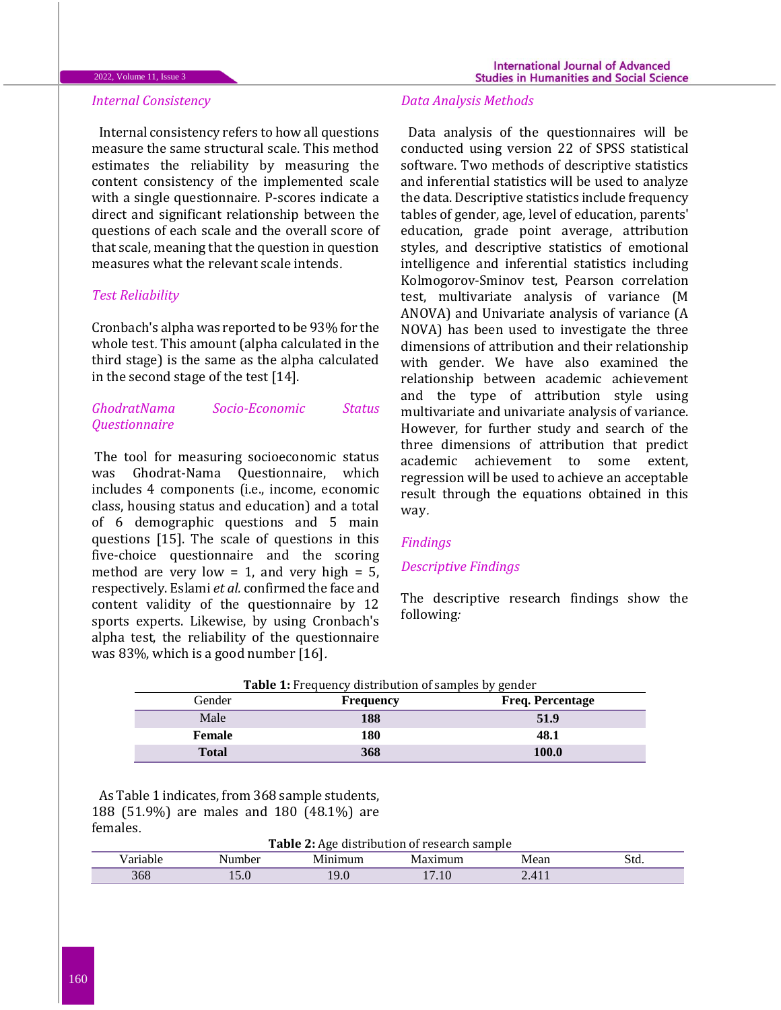#### 2022, Volume 11, Issue 3

Internal consistency refers to how all questions measure the same structural scale. This method estimates the reliability by measuring the content consistency of the implemented scale with a single questionnaire. P-scores indicate a direct and significant relationship between the questions of each scale and the overall score of that scale, meaning that the question in question measures what the relevant scale intends.

# *Test Reliability*

Cronbach's alpha was reported to be 93% for the whole test. This amount (alpha calculated in the third stage) is the same as the alpha calculated in the second stage of the test [14].

# *GhodratNama Socio-Economic Status Questionnaire*

The tool for measuring socioeconomic status was Ghodrat-Nama Questionnaire, which includes 4 components (i.e., income, economic class, housing status and education) and a total of 6 demographic questions and 5 main questions [15]. The scale of questions in this five-choice questionnaire and the scoring method are very low = 1, and very high =  $5$ , respectively. Eslami *et al.* confirmed the face and content validity of the questionnaire by 12 sports experts. Likewise, by using Cronbach's alpha test, the reliability of the questionnaire was 83%, which is a good number [16].

### *Data Analysis Methods*

Data analysis of the questionnaires will be conducted using version 22 of SPSS statistical software. Two methods of descriptive statistics and inferential statistics will be used to analyze the data. Descriptive statistics include frequency tables of gender, age, level of education, parents' education, grade point average, attribution styles, and descriptive statistics of emotional intelligence and inferential statistics including Kolmogorov-Sminov test, Pearson correlation test, multivariate analysis of variance (M ANOVA) and Univariate analysis of variance (A NOVA) has been used to investigate the three dimensions of attribution and their relationship with gender. We have also examined the relationship between academic achievement and the type of attribution style using multivariate and univariate analysis of variance. However, for further study and search of the three dimensions of attribution that predict academic achievement to some extent, regression will be used to achieve an acceptable result through the equations obtained in this way.

### *Findings*

# *Descriptive Findings*

The descriptive research findings show the following*:*

| <b>Table 1:</b> Frequency distribution of samples by gender |                  |                         |  |  |  |
|-------------------------------------------------------------|------------------|-------------------------|--|--|--|
| Gender                                                      | <b>Frequency</b> | <b>Freq. Percentage</b> |  |  |  |
| Male                                                        | 188              | 51.9                    |  |  |  |
| Female                                                      | 180              | 48.1                    |  |  |  |
| <b>Total</b>                                                | 368              | 100.0                   |  |  |  |

As Table 1 indicates, from 368 sample students, 188 (51.9%) are males and 180 (48.1%) are females.

**Table 2:** Age distribution of research sample

| -----     | ----- - - - -<br>De. | num                                        |                  | ND 22<br>VICAI. | Sta. |
|-----------|----------------------|--------------------------------------------|------------------|-----------------|------|
| 20<br>908 | 1 J . V              | 1 <sup>C</sup><br>$\overline{\phantom{a}}$ | $\cdot$ . $\cup$ | $\lambda$       |      |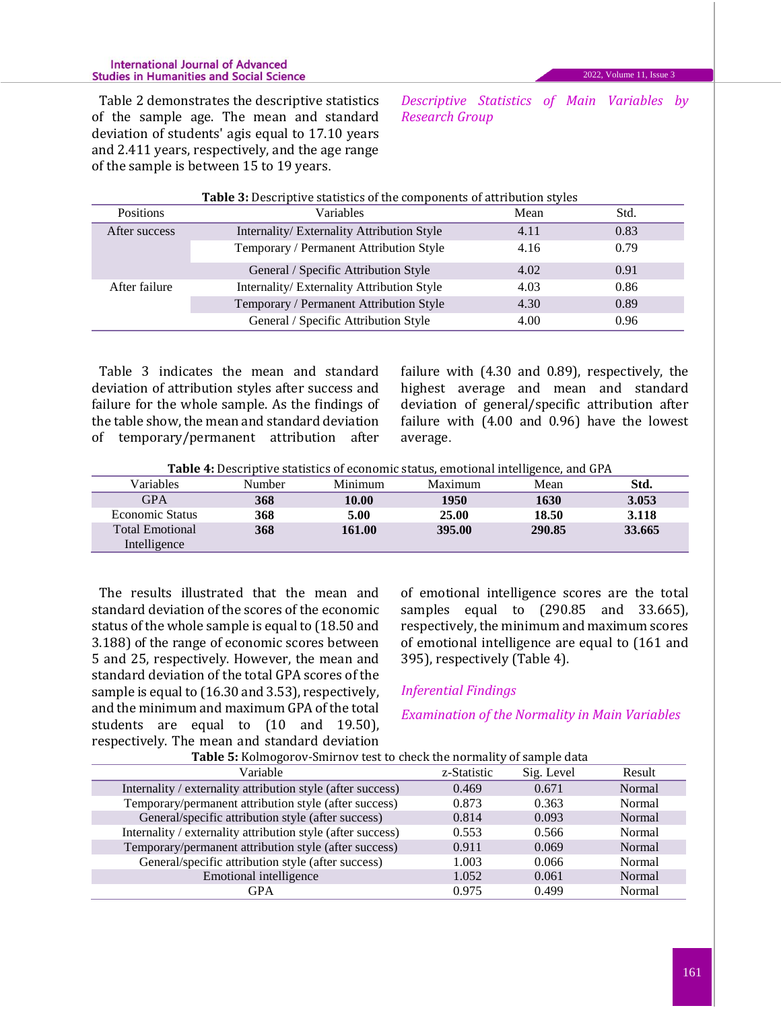#### **International Journal of Advanced Studies in Humanities and Social Science**

Table 2 demonstrates the descriptive statistics of the sample age. The mean and standard deviation of students' agis equal to 17.10 years and 2.411 years, respectively, and the age range of the sample is between 15 to 19 years.

*Descriptive Statistics of Main Variables by Research Group*

| Table 3: Descriptive statistics of the components of attribution styles |      |      |  |  |  |  |
|-------------------------------------------------------------------------|------|------|--|--|--|--|
| Variables                                                               | Mean | Std. |  |  |  |  |
| Internality/ Externality Attribution Style                              | 4.11 | 0.83 |  |  |  |  |
| Temporary / Permanent Attribution Style                                 | 4.16 | 0.79 |  |  |  |  |
| General / Specific Attribution Style                                    | 4.02 | 0.91 |  |  |  |  |
| Internality/Externality Attribution Style                               | 4.03 | 0.86 |  |  |  |  |
| Temporary / Permanent Attribution Style                                 | 4.30 | 0.89 |  |  |  |  |
| General / Specific Attribution Style                                    | 4.00 | 0.96 |  |  |  |  |
|                                                                         |      |      |  |  |  |  |

Table 3 indicates the mean and standard deviation of attribution styles after success and failure for the whole sample. As the findings of the table show, the mean and standard deviation of temporary/permanent attribution after failure with (4.30 and 0.89), respectively, the highest average and mean and standard deviation of general/specific attribution after failure with (4.00 and 0.96) have the lowest average.

**Table 4:** Descriptive statistics of economic status, emotional intelligence, and GPA

| Variables              | Number | Minimum | Maximum | Mean   | Std.   |
|------------------------|--------|---------|---------|--------|--------|
| <b>GPA</b>             | 368    | 10.00   | 1950    | 1630   | 3.053  |
| Economic Status        | 368    | 5.00    | 25.00   | 18.50  | 3.118  |
| <b>Total Emotional</b> | 368    | 161.00  | 395.00  | 290.85 | 33.665 |
| Intelligence           |        |         |         |        |        |

The results illustrated that the mean and standard deviation of the scores of the economic status of the whole sample is equal to (18.50 and 3.188) of the range of economic scores between 5 and 25, respectively. However, the mean and standard deviation of the total GPA scores of the sample is equal to (16.30 and 3.53), respectively, and the minimum and maximum GPA of the total students are equal to (10 and 19.50), respectively. The mean and standard deviation

of emotional intelligence scores are the total samples equal to (290.85 and 33.665), respectively, the minimum and maximum scores of emotional intelligence are equal to (161 and 395), respectively (Table 4).

# *Inferential Findings*

*Examination of the Normality in Main Variables*

| ╯<br>Table 5: Kolmogorov-Smirnov test to check the normality of sample data |             |            |        |  |  |  |
|-----------------------------------------------------------------------------|-------------|------------|--------|--|--|--|
| Variable                                                                    | z-Statistic | Sig. Level | Result |  |  |  |
| Internality / externality attribution style (after success)                 | 0.469       | 0.671      | Normal |  |  |  |
| Temporary/permanent attribution style (after success)                       | 0.873       | 0.363      | Normal |  |  |  |
| General/specific attribution style (after success)                          | 0.814       | 0.093      | Normal |  |  |  |
| Internality / externality attribution style (after success)                 | 0.553       | 0.566      | Normal |  |  |  |
| Temporary/permanent attribution style (after success)                       | 0.911       | 0.069      | Normal |  |  |  |
| General/specific attribution style (after success)                          | 1.003       | 0.066      | Normal |  |  |  |
| Emotional intelligence                                                      | 1.052       | 0.061      | Normal |  |  |  |
| <b>GPA</b>                                                                  | 0.975       | 0.499      | Normal |  |  |  |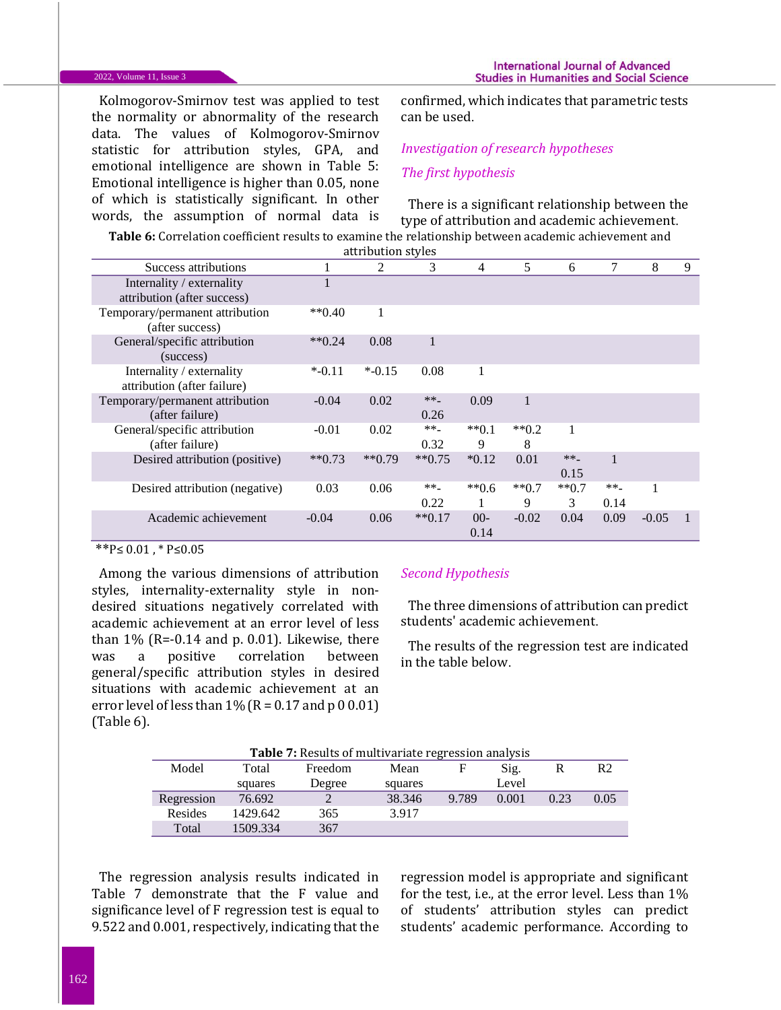#### 2022, Volume 11, Issue 3

Kolmogorov-Smirnov test was applied to test the normality or abnormality of the research data. The values of Kolmogorov-Smirnov statistic for attribution styles, GPA, and emotional intelligence are shown in Table 5: Emotional intelligence is higher than 0.05, none of which is statistically significant. In other words, the assumption of normal data is

confirmed, which indicates that parametric tests can be used.

# *Investigation of research hypotheses The first hypothesis*

There is a significant relationship between the type of attribution and academic achievement.

**Table 6:** Correlation coefficient results to examine the relationship between academic achievement and attribution styles

| Success attributions                                     |              | 2         | 3             | $\overline{4}$ | 5                | 6              | 7              | 8       | 9 |
|----------------------------------------------------------|--------------|-----------|---------------|----------------|------------------|----------------|----------------|---------|---|
| Internality / externality<br>attribution (after success) |              |           |               |                |                  |                |                |         |   |
| Temporary/permanent attribution<br>(after success)       | $*$ $(0.40)$ | 1         |               |                |                  |                |                |         |   |
| General/specific attribution<br>(success)                | $*$ $(0.24)$ | 0.08      |               |                |                  |                |                |         |   |
| Internality / externality<br>attribution (after failure) | $*$ -0.11    | $*$ -0.15 | 0.08          | 1              |                  |                |                |         |   |
| Temporary/permanent attribution<br>(after failure)       | $-0.04$      | 0.02      | $**$<br>0.26  | 0.09           |                  |                |                |         |   |
| General/specific attribution<br>(after failure)          | $-0.01$      | 0.02      | **_<br>0.32   | $**0.1$<br>9   | $*$ $(0.2)$<br>8 | 1              |                |         |   |
| Desired attribution (positive)                           | $**0.73$     | $**0.79$  | $**0.75$      | $*0.12$        | 0.01             | $** -$<br>0.15 | 1              |         |   |
| Desired attribution (negative)                           | 0.03         | 0.06      | $***$<br>0.22 | $**0.6$        | $**0.7$<br>9     | $**0.7$<br>3   | $** -$<br>0.14 |         |   |
| Academic achievement                                     | $-0.04$      | 0.06      | $**0.17$      | $00 -$<br>0.14 | $-0.02$          | 0.04           | 0.09           | $-0.05$ |   |

## $*P ≤ 0.01, * P ≤ 0.05$

Among the various dimensions of attribution styles, internality-externality style in nondesired situations negatively correlated with academic achievement at an error level of less than  $1\%$  (R=-0.14 and p. 0.01). Likewise, there was a positive correlation between general/specific attribution styles in desired situations with academic achievement at an error level of less than  $1\%$  (R = 0.17 and p 0 0.01) (Table 6).

### *Second Hypothesis*

The three dimensions of attribution can predict students' academic achievement.

The results of the regression test are indicated in the table below.

| <b>Table 7:</b> Results of multivariate regression analysis |          |         |         |       |       |      |                |  |
|-------------------------------------------------------------|----------|---------|---------|-------|-------|------|----------------|--|
| Model                                                       | Total    | Freedom | Mean    |       | Sig.  | R    | R <sub>2</sub> |  |
|                                                             | squares  | Degree  | squares |       | Level |      |                |  |
| Regression                                                  | 76.692   |         | 38.346  | 9.789 | 0.001 | 0.23 | 0.05           |  |
| Resides                                                     | 1429.642 | 365     | 3.917   |       |       |      |                |  |
| Total                                                       | 1509.334 | 367     |         |       |       |      |                |  |

**Table 7:** Results of multivariate regression analysis

The regression analysis results indicated in Table 7 demonstrate that the F value and significance level of F regression test is equal to 9.522 and 0.001, respectively, indicating that the

regression model is appropriate and significant for the test, i.e., at the error level. Less than 1% of students' attribution styles can predict students' academic performance. According to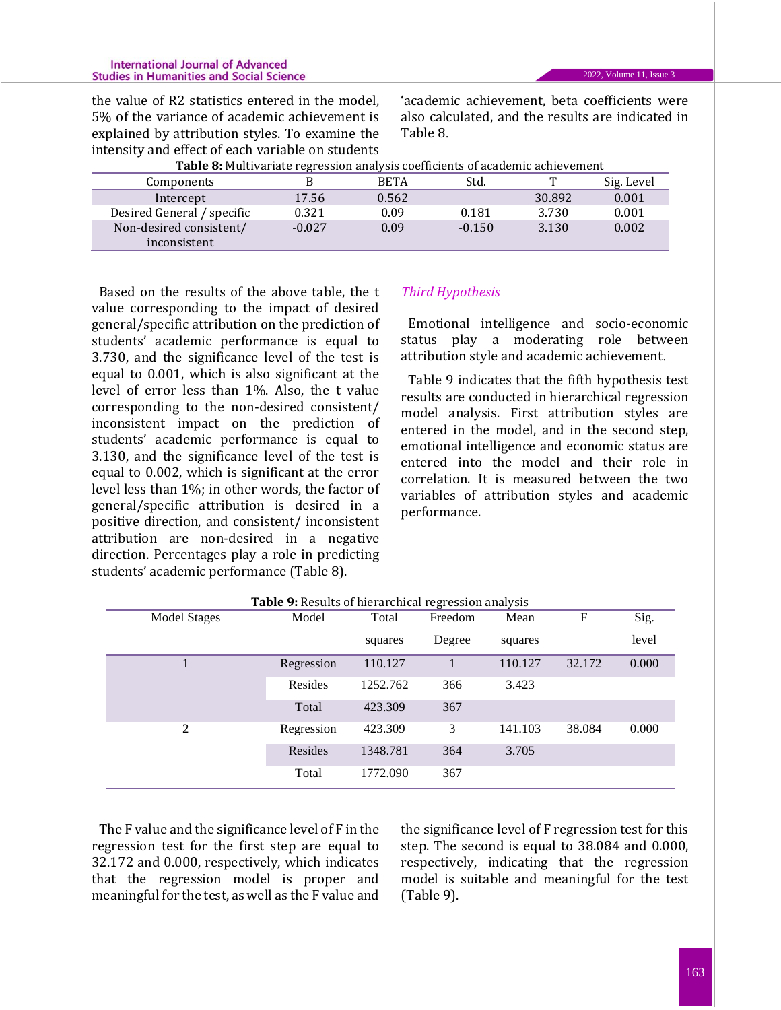#### **International Journal of Advanced Studies in Humanities and Social Science**

the value of R2 statistics entered in the model, 5% of the variance of academic achievement is explained by attribution styles. To examine the intensity and effect of each variable on students

'academic achievement, beta coefficients were also calculated, and the results are indicated in Table 8.

| <b>Table 8:</b> Multivariate regression analysis coefficients of academic achievement |          |             |          |        |            |  |  |
|---------------------------------------------------------------------------------------|----------|-------------|----------|--------|------------|--|--|
| Components                                                                            |          | <b>BETA</b> | Std.     |        | Sig. Level |  |  |
| Intercept                                                                             | 17.56    | 0.562       |          | 30.892 | 0.001      |  |  |
| Desired General / specific                                                            | 0.321    | 0.09        | 0.181    | 3.730  | 0.001      |  |  |
| Non-desired consistent/                                                               | $-0.027$ | 0.09        | $-0.150$ | 3.130  | 0.002      |  |  |
| inconsistent                                                                          |          |             |          |        |            |  |  |

Based on the results of the above table, the t value corresponding to the impact of desired general/specific attribution on the prediction of students' academic performance is equal to 3.730, and the significance level of the test is equal to 0.001, which is also significant at the level of error less than 1%. Also, the t value corresponding to the non-desired consistent/ inconsistent impact on the prediction of students' academic performance is equal to 3.130, and the significance level of the test is equal to 0.002, which is significant at the error level less than 1%; in other words, the factor of general/specific attribution is desired in a positive direction, and consistent/ inconsistent attribution are non-desired in a negative direction. Percentages play a role in predicting students' academic performance (Table 8).

# *Third Hypothesis*

Emotional intelligence and socio-economic status play a moderating role between attribution style and academic achievement.

Table 9 indicates that the fifth hypothesis test results are conducted in hierarchical regression model analysis. First attribution styles are entered in the model, and in the second step, emotional intelligence and economic status are entered into the model and their role in correlation. It is measured between the two variables of attribution styles and academic performance.

|              | Table 9: Results of hierarchical regression analysis |          |         |         |        |       |  |  |  |
|--------------|------------------------------------------------------|----------|---------|---------|--------|-------|--|--|--|
| Model Stages | Model                                                | Total    | Freedom | Mean    | F      | Sig.  |  |  |  |
|              |                                                      | squares  | Degree  | squares |        | level |  |  |  |
|              | Regression                                           | 110.127  |         | 110.127 | 32.172 | 0.000 |  |  |  |
|              | Resides                                              | 1252.762 | 366     | 3.423   |        |       |  |  |  |
|              | Total                                                | 423.309  | 367     |         |        |       |  |  |  |
| 2            | Regression                                           | 423.309  | 3       | 141.103 | 38.084 | 0.000 |  |  |  |
|              | Resides                                              | 1348.781 | 364     | 3.705   |        |       |  |  |  |
|              | Total                                                | 1772.090 | 367     |         |        |       |  |  |  |

The F value and the significance level of F in the regression test for the first step are equal to 32.172 and 0.000, respectively, which indicates that the regression model is proper and meaningful for the test, as well as the F value and

the significance level of F regression test for this step. The second is equal to 38.084 and 0.000, respectively, indicating that the regression model is suitable and meaningful for the test (Table 9).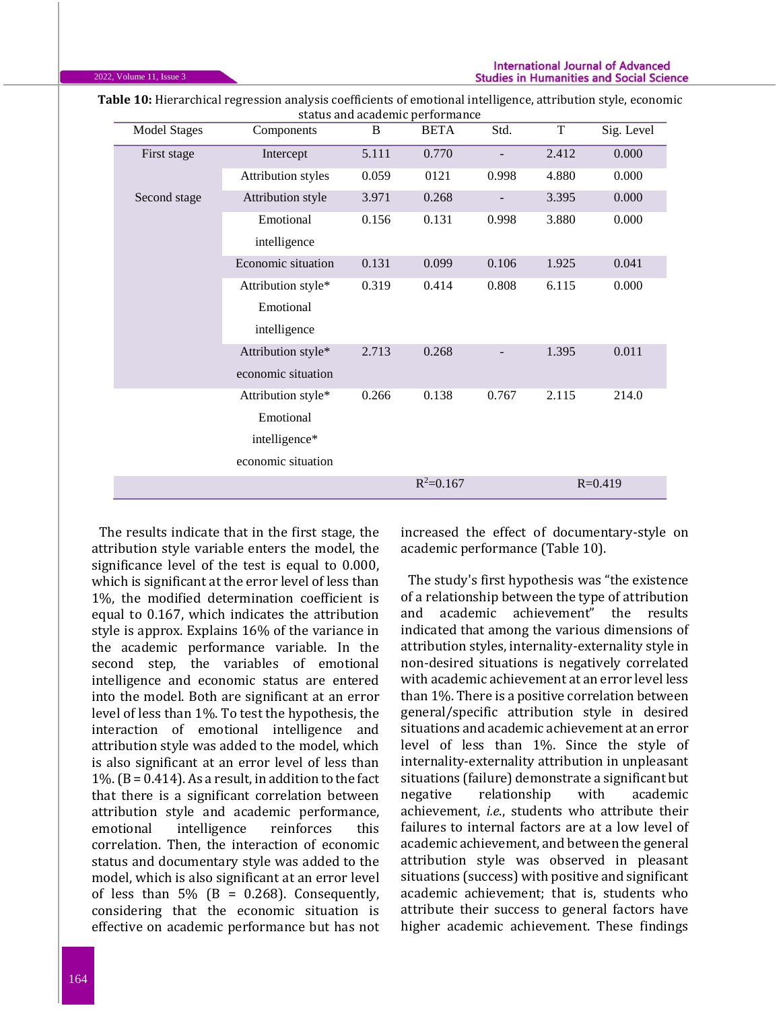| <b>Model Stages</b> | Components                | $\, {\bf B}$ | <b>BETA</b>   | Std.  | T     | Sig. Level  |
|---------------------|---------------------------|--------------|---------------|-------|-------|-------------|
| First stage         | Intercept                 | 5.111        | 0.770         |       | 2.412 | 0.000       |
|                     | <b>Attribution</b> styles | 0.059        | 0121          | 0.998 | 4.880 | 0.000       |
| Second stage        | Attribution style         | 3.971        | 0.268         |       | 3.395 | 0.000       |
|                     | Emotional                 | 0.156        | 0.131         | 0.998 | 3.880 | 0.000       |
|                     | intelligence              |              |               |       |       |             |
|                     | Economic situation        | 0.131        | 0.099         | 0.106 | 1.925 | 0.041       |
|                     | Attribution style*        | 0.319        | 0.414         | 0.808 | 6.115 | 0.000       |
|                     | Emotional                 |              |               |       |       |             |
|                     | intelligence              |              |               |       |       |             |
|                     | Attribution style*        | 2.713        | 0.268         |       | 1.395 | 0.011       |
|                     | economic situation        |              |               |       |       |             |
|                     | Attribution style*        | 0.266        | 0.138         | 0.767 | 2.115 | 214.0       |
|                     | Emotional                 |              |               |       |       |             |
|                     | intelligence*             |              |               |       |       |             |
|                     | economic situation        |              |               |       |       |             |
|                     |                           |              | $R^2 = 0.167$ |       |       | $R = 0.419$ |

**Table 10:** Hierarchical regression analysis coefficients of emotional intelligence, attribution style, economic status and academic performance

The results indicate that in the first stage, the attribution style variable enters the model, the significance level of the test is equal to 0.000, which is significant at the error level of less than 1%, the modified determination coefficient is equal to 0.167, which indicates the attribution style is approx. Explains 16% of the variance in the academic performance variable. In the second step, the variables of emotional intelligence and economic status are entered into the model. Both are significant at an error level of less than 1%. To test the hypothesis, the interaction of emotional intelligence and attribution style was added to the model, which is also significant at an error level of less than  $1\%$ . (B = 0.414). As a result, in addition to the fact that there is a significant correlation between attribution style and academic performance, emotional intelligence reinforces this correlation. Then, the interaction of economic status and documentary style was added to the model, which is also significant at an error level of less than  $5\%$  (B = 0.268). Consequently, considering that the economic situation is effective on academic performance but has not increased the effect of documentary-style on academic performance (Table 10).

The study's first hypothesis was "the existence of a relationship between the type of attribution and academic achievement" the results indicated that among the various dimensions of attribution styles, internality-externality style in non-desired situations is negatively correlated with academic achievement at an error level less than 1%. There is a positive correlation between general/specific attribution style in desired situations and academic achievement at an error level of less than 1%. Since the style of internality-externality attribution in unpleasant situations (failure) demonstrate a significant but negative relationship with academic achievement, *i.e*., students who attribute their failures to internal factors are at a low level of academic achievement, and between the general attribution style was observed in pleasant situations (success) with positive and significant academic achievement; that is, students who attribute their success to general factors have higher academic achievement. These findings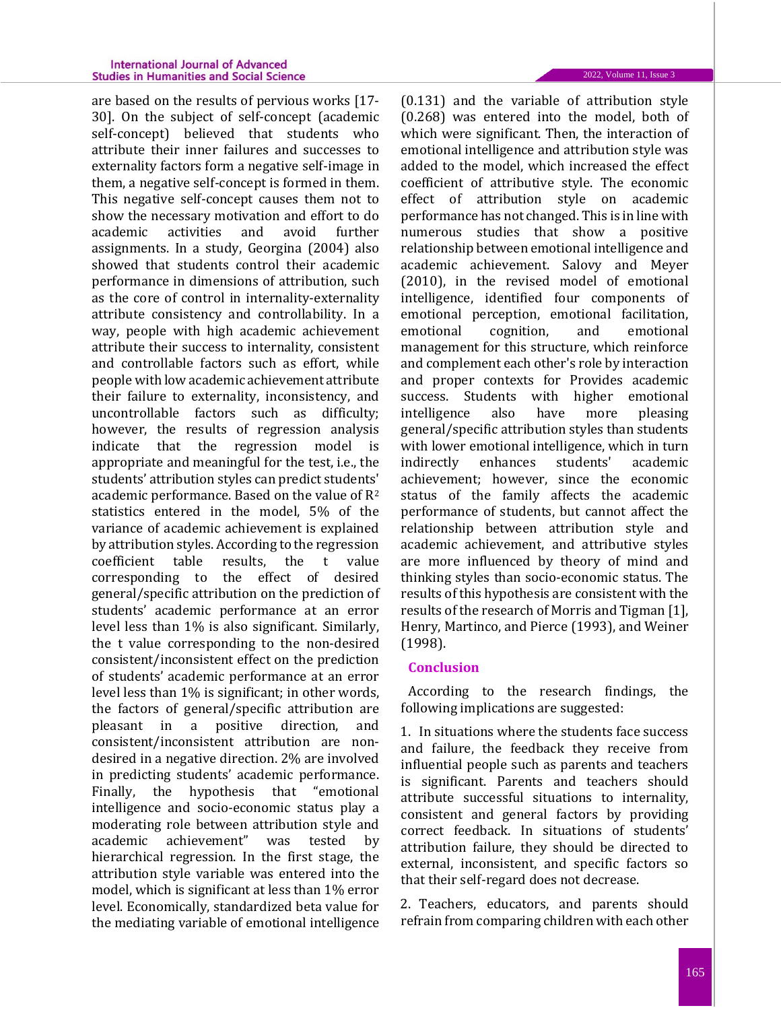are based on the results of pervious works [17- 30]. On the subject of self-concept (academic self-concept) believed that students who attribute their inner failures and successes to externality factors form a negative self-image in them, a negative self-concept is formed in them. This negative self-concept causes them not to show the necessary motivation and effort to do academic activities and avoid further assignments. In a study, Georgina (2004) also showed that students control their academic performance in dimensions of attribution, such as the core of control in internality-externality attribute consistency and controllability. In a way, people with high academic achievement attribute their success to internality, consistent and controllable factors such as effort, while people with low academic achievement attribute their failure to externality, inconsistency, and uncontrollable factors such as difficulty; however, the results of regression analysis indicate that the regression model is appropriate and meaningful for the test, i.e., the students' attribution styles can predict students' academic performance. Based on the value of R<sup>2</sup> statistics entered in the model, 5% of the variance of academic achievement is explained by attribution styles. According to the regression coefficient table results, the t value corresponding to the effect of desired general/specific attribution on the prediction of students' academic performance at an error level less than 1% is also significant. Similarly, the t value corresponding to the non-desired consistent/inconsistent effect on the prediction of students' academic performance at an error level less than 1% is significant; in other words, the factors of general/specific attribution are pleasant in a positive direction, and consistent/inconsistent attribution are nondesired in a negative direction. 2% are involved in predicting students' academic performance. Finally, the hypothesis that "emotional intelligence and socio-economic status play a moderating role between attribution style and academic achievement" was tested by hierarchical regression. In the first stage, the attribution style variable was entered into the model, which is significant at less than 1% error level. Economically, standardized beta value for the mediating variable of emotional intelligence

(0.131) and the variable of attribution style (0.268) was entered into the model, both of which were significant. Then, the interaction of emotional intelligence and attribution style was added to the model, which increased the effect coefficient of attributive style. The economic effect of attribution style on academic performance has not changed. This is in line with numerous studies that show a positive relationship between emotional intelligence and academic achievement. Salovy and Meyer (2010), in the revised model of emotional intelligence, identified four components of emotional perception, emotional facilitation, emotional cognition, and emotional management for this structure, which reinforce and complement each other's role by interaction and proper contexts for Provides academic success. Students with higher emotional intelligence also have more pleasing general/specific attribution styles than students with lower emotional intelligence, which in turn indirectly enhances students' academic achievement; however, since the economic status of the family affects the academic performance of students, but cannot affect the relationship between attribution style and academic achievement, and attributive styles are more influenced by theory of mind and thinking styles than socio-economic status. The results of this hypothesis are consistent with the results of the research of Morris and Tigman [1], Henry, Martinco, and Pierce (1993), and Weiner (1998).

### **Conclusion**

According to the research findings, the following implications are suggested:

1. In situations where the students face success and failure, the feedback they receive from influential people such as parents and teachers is significant. Parents and teachers should attribute successful situations to internality, consistent and general factors by providing correct feedback. In situations of students' attribution failure, they should be directed to external, inconsistent, and specific factors so that their self-regard does not decrease.

2. Teachers, educators, and parents should refrain from comparing children with each other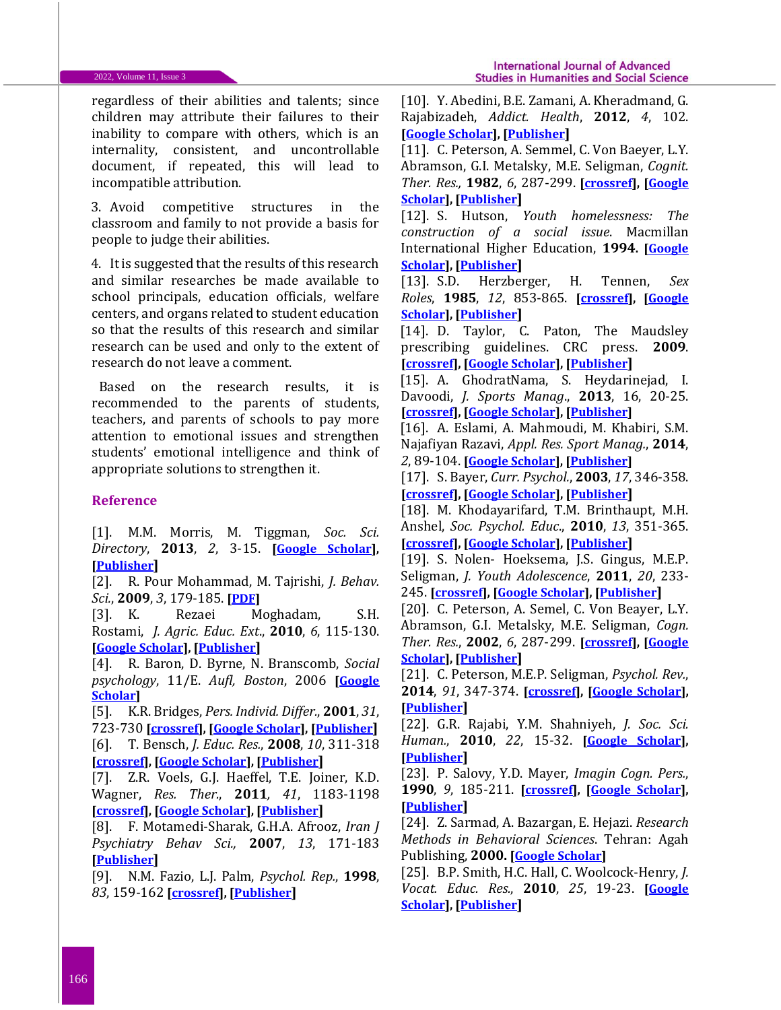regardless of their abilities and talents; since children may attribute their failures to their inability to compare with others, which is an internality, consistent, and uncontrollable document, if repeated, this will lead to incompatible attribution.

3. Avoid competitive structures in the classroom and family to not provide a basis for people to judge their abilities.

4. It is suggested that the results of this research and similar researches be made available to school principals, education officials, welfare centers, and organs related to student education so that the results of this research and similar research can be used and only to the extent of research do not leave a comment.

Based on the research results, it is recommended to the parents of students, teachers, and parents of schools to pay more attention to emotional issues and strengthen students' emotional intelligence and think of appropriate solutions to strengthen it.

## **Reference**

[1]. M.M. Morris, M. Tiggman, *Soc. Sci. Directory*, **2013**, *2*, 3-15. **[\[Google Scholar\]](https://scholar.google.com/scholar?hl=en&as_sdt=0%2C5&q=The+Impact+of+Attributions+on+Academic+Performance%3A+A+Test+of+the+Reformulated+Learned+Helplessness+Model.+Social+science+Directory%2C+2013%2C+2%2C+3-15+&btnG=), [\[Publisher](http://espace.cdu.edu.au/view/cdu:40499)]**

[2]. R. Pour Mohammad, M. Tajrishi, *J. Behav. Sci.*, **2009**, *3*, 179-185. **[\[PDF\]](http://ensani.ir/file/download/article/20101005150417-%D9%86%D9%82%D8%B4%20%D8%AA%D8%B9%D8%AF%D9%8A%D9%84%20%D9%83%D9%86%D9%86%D8%AF%D9%87%20%D8%AC%D9%86%D8%B3%20%D8%AF%D8%B1%20%D8%A7%D8%B1%D8%AA%D8%A8%D8%A7%D8%B7%20%D8%A8%D9%8A%D9%86%20%D8%B3%D8%A8%D9%83%20%D8%A7%D8%B3%D9%86%D8%A7%D8%AF%20%D9%88%20%D9%BE%D9%8A%D8%B4%D8%B1%D9%81%D8%AA%20%D8%AA%D8%AD%D8%B5%D9%8A%D9%84%D9%8A.php.pdf)**

[3]. K. Rezaei Moghadam, S.H. Rostami, *J. Agric. Educ. Ext*., **2010**, *6*, 115-130. **[\[Google Scholar\]](https://scholar.google.com/scholar?hl=en&as_sdt=0%2C5&q=Attribution+style%2C+locus+of+control+and+academic+achievement+in+College+of+Agriculture%2C+Shiraz+University.&btnG=), [\[Publisher](https://www.cabdirect.org/cabdirect/abstract/20133234836)]**

[4]. R. Baron, D. Byrne, N. Branscomb, *Social psychology*, 11/E. *Aufl, Boston*, 2006 **[\[Google](https://scholar.google.com/scholar?hl=en&as_sdt=0%2C5&q=Baron%2C+R.A.%2C+Byrne%2C+D.+and+Branscombe%2C+N.R.%2C+2006.+Social+psychology%2C+11%2FE.+Aufl%2C+Boston.&btnG=)  [Scholar\]](https://scholar.google.com/scholar?hl=en&as_sdt=0%2C5&q=Baron%2C+R.A.%2C+Byrne%2C+D.+and+Branscombe%2C+N.R.%2C+2006.+Social+psychology%2C+11%2FE.+Aufl%2C+Boston.&btnG=)**

[5]. K.R. Bridges, *Pers. Individ. Differ.*, **2001**, *31*, 723-730 **[\[crossref\]](https://doi.org/10.1016/S0191-8869(00)00174-4), [\[Google Scholar\]](https://scholar.google.com/scholar?hl=en&as_sdt=0%2C5&q=Using+attributional+style+to+predict+academic+performance%3A+how+does+it+compare+to+traditional+methods%3F&btnG=), [\[Publisher](https://www.sciencedirect.com/science/article/abs/pii/S0191886900001744)]**

[6]. T. Bensch, *J. Educ. Res.*, **2008**, *10*, 311-318 **[\[crossref\]](https://doi.org/10.1080/0031383950390403), [\[Google Scholar\]](https://scholar.google.com/scholar?hl=en&as_sdt=0%2C5&q=Gender+Differences+in+Self%E2%80%90efficacy+and+Academic+Performance+among+Students+of+Business+Administration&btnG=), [\[Publisher](https://www.tandfonline.com/doi/abs/10.1080/0031383950390403)]**

[7]. Z.R. Voels, G.J. Haeffel, T.E. Joiner, K.D. Wagner, *Res. Ther.*, **2011***, 41*, 1183-1198 **[\[crossref\]](https://doi.org/10.1016/S0005-7967(03)00030-5), [\[Google Scholar\]](https://scholar.google.com/scholar?hl=en&as_sdt=0%2C5&q=Reducing+hopelessness%3A+the+interation+of+enhancing+and+depressogenic+attributional+styles+for+positive+and+negative+life+events+among+youth+psychiatric+inpatients&btnG=), [\[Publisher](https://www.sciencedirect.com/science/article/abs/pii/S0005796703000305)]**

[8]. F. Motamedi-Sharak, G.H.A. Afrooz, *Iran J Psychiatry Behav Sci.,* **2007**, *13*, 171-183 **[\[Publisher](https://ijpcp.iums.ac.ir/browse.php?a_id=168&sid=1&slc_lang=en)]**

[9]. N.M. Fazio, L.J. Palm, *Psychol. Rep.*, **1998**, *83*, 159-162 **[\[crossref\]](https://doi.org/10.2466%2Fpr0.1998.83.1.159), [\[Publisher](https://journals.sagepub.com/doi/abs/10.2466/pr0.1998.83.1.159)]**

[10]. Y. Abedini, B.E. Zamani, A. Kheradmand, G. Rajabizadeh, *Addict. Health*, **2012**, *4*, 102. **[\[Google Scholar\]](https://scholar.google.com/scholar?hl=en&as_sdt=0%2C5&q=Impacts+of+mothers%27+occupation+status+and+parenting+styles+on+levels+of+self-control%2C+addiction+to+computer+games%2C+and+educational+progress+of+adolescents+%E2%80%A6%2C+BE+Zamani%2C+A+Kheradmand%2C+G+Rajabizadeh+-+Addiction+%26+%E2%80%A6%2C+2012+-+ncbi.nlm.nih.gov&btnG=#d=gs_cit&u=%2Fscholar%3Fq%3Dinfo%3A1y4yrGYLMLwJ%3Ascholar.google.com%2F%26output%3Dcite%26scirp%3D0%26hl%3Den), [\[Publisher](https://www.ncbi.nlm.nih.gov/pmc/articles/PMC3905542/)]**

[11]. C. Peterson, A. Semmel, C. Von Baeyer, L.Y. Abramson, G.I. Metalsky, M.E. Seligman, *Cognit. Ther. Res.,* **1982**, *6*, 287-299. **[\[crossref\]](https://doi.org/10.1007/BF01173577), [\[Google](https://scholar.google.com/scholar?hl=en&as_sdt=0%2C5&q=Peterson%2C+C.%2C+Semmel%2C+A.%2C+Von+Baeyer%2C+C.%2C+Abramson%2C+L.Y.%2C+Metalsky%2C+G.I.+and+Seligman%2C+M.E.%2C+1982.+The+attributional+style+questionnaire.+Cognitive+therapy+and+research%2C+6%283%29%2C+pp.287-299.&btnG=#d=gs_cit&u=%2Fscholar%3Fq%3Dinfo%3A19fsorY3XXAJ%3Ascholar.google.com%2F%26output%3Dcite%26scirp%3D0%26hl%3Den)  [Scholar\]](https://scholar.google.com/scholar?hl=en&as_sdt=0%2C5&q=Peterson%2C+C.%2C+Semmel%2C+A.%2C+Von+Baeyer%2C+C.%2C+Abramson%2C+L.Y.%2C+Metalsky%2C+G.I.+and+Seligman%2C+M.E.%2C+1982.+The+attributional+style+questionnaire.+Cognitive+therapy+and+research%2C+6%283%29%2C+pp.287-299.&btnG=#d=gs_cit&u=%2Fscholar%3Fq%3Dinfo%3A19fsorY3XXAJ%3Ascholar.google.com%2F%26output%3Dcite%26scirp%3D0%26hl%3Den), [\[Publisher](https://link.springer.com/article/10.1007/BF01173577#citeas)]**

[12]. S. Hutson, *Youth homelessness: The construction of a social issue*. Macmillan International Higher Education, **1994. [\[Google](https://scholar.google.com/scholar?hl=en&as_sdt=0%2C5&q=Hutson+S.+Youth+homelessness%3A+The+construction+of+a+social+issue.+Macmillan+International+Higher+Education%3B+1994+Aug+24.&btnG=)  [Scholar\]](https://scholar.google.com/scholar?hl=en&as_sdt=0%2C5&q=Hutson+S.+Youth+homelessness%3A+The+construction+of+a+social+issue.+Macmillan+International+Higher+Education%3B+1994+Aug+24.&btnG=), [\[Publisher](https://books.google.com/books?hl=en&lr=&id=mkpdDwAAQBAJ&oi=fnd&pg=PR10&dq=Hutson+S.+Youth+homelessness:+The+construction+of+a+social+issue.+Macmillan+International+Higher+Education%3B+1994+Aug+24.&ots=WvqnzjJyrL&sig=JlZoy5LnxjTiEpHelQzPzbgVHPs#v=onepage&q&f=false)]**

[13]. S.D. Herzberger, H. Tennen, *Sex Roles*, **1985**, *12*, 853-865. **[\[crossref\]](https://doi.org/10.1007/BF00287877), [\[Google](https://scholar.google.com/scholar?hl=en&as_sdt=0%2C5&q=Herzberger%2C+S.D.+and+Tennen%2C+H.%2C+1985.+%E2%80%9CSnips+and+snails+and+puppy+dog+tails%E2%80%9D%3A+Gender+of+agent%2C+recipient%2C+and+observer+as+determinants+of+perceptions+of+discipline.+Sex+Roles%2C+12%287%29%2C+pp.853-865.&btnG=)  [Scholar\]](https://scholar.google.com/scholar?hl=en&as_sdt=0%2C5&q=Herzberger%2C+S.D.+and+Tennen%2C+H.%2C+1985.+%E2%80%9CSnips+and+snails+and+puppy+dog+tails%E2%80%9D%3A+Gender+of+agent%2C+recipient%2C+and+observer+as+determinants+of+perceptions+of+discipline.+Sex+Roles%2C+12%287%29%2C+pp.853-865.&btnG=), [\[Publisher](https://link.springer.com/article/10.1007/BF00287877)]**

[14]. D. Taylor, C. Paton, The Maudsley prescribing guidelines. CRC press. **2009**. **[\[crossref\]](https://doi.org/10.3109/9780203092835), [\[Google Scholar\]](https://scholar.google.com/scholar?hl=en&as_sdt=0%2C5&q=Taylor%2C+D.+and+Paton%2C+C.%2C+2009.+The+Maudsley+prescribing+guidelines.+CRC+press.&btnG=), [\[Publisher](https://www.taylorfrancis.com/books/mono/10.3109/9780203092835/maudsley-prescribing-guidelines-david-taylor-carol-paton-carol-paton)]**

[15]. A. GhodratNama, S. Heydarinejad, I. Davoodi, *J. Sports Manag*., **2013**, 16, 20-25. **[\[crossref\]](https://doi.org/10.22059/JSM.2013.30410), [\[Google Scholar\]](https://scholar.google.com/scholar?hl=en&as_sdt=0%2C5&q=Ghodratnama%2C+A.%2C+Heidarinejad%2C+S.+and+Davoodi%2C+I.%2C+2013.+The+relationship+between+socio%E2%80%93economic+status+and+the+rate+of+physical+activity+in+Shahid+Chamran+University+Students+of+Ahwaz.+Journal+of+Sport+Management%2C+5%2816%29%2C+pp.5-20.&btnG=), [\[Publisher\]](https://jsm.ut.ac.ir/article_30410_5.html?lang=en)**

[16]. A. Eslami, A. Mahmoudi, M. Khabiri, S.M. Najafiyan Razavi, *Appl. Res. Sport Manag.*, **2014**, *2*, 89-104. **[\[Google Scholar\]](https://scholar.google.com/scholar?hl=en&as_sdt=0%2C5&q=The+role+of+socioeconomic+conditions+in+the+citizens%27+motivation+for+participating+in+public+sports&btnG=), [\[Publisher\]](https://arsmb.journals.pnu.ac.ir/article_682.html?lang=en)**

[17]. S. Bayer, *Curr. Psychol.*, **2003**, *17*, 346-358. **[\[crossref\]](https://doi.org/10.1007/s12144-998-1016-5), [\[Google Scholar\]](https://scholar.google.com/scholar?hl=en&as_sdt=0%2C5&q=Gender+differences+in+causal+attributions+by+college+students+of+performance+on+course+examinations&btnG=), [\[Publisher](https://link.springer.com/article/10.1007/s12144-998-1016-5)]**

[18]. M. Khodayarifard, T.M. Brinthaupt, M.H. Anshel, *Soc. Psychol. Educ*., **2010**, *13*, 351-365. **[\[crossref\]](https://doi.org/10.1007/s11218-010-9114-2), [\[Google Scholar\]](https://scholar.google.com/scholar?hl=en&as_sdt=0%2C5&q=Relationships+of+Parents%E2%80%99+and+Child%E2%80%99s+General+Attribution+Styles+to+Academic+Performance.+Psychology+Education%2C13+%283%29%2C+PP.+351-365+&btnG=), [\[Publisher](https://link.springer.com/article/10.1007/s11218-010-9114-2)]**

[19]. S. Nolen- Hoeksema, J.S. Gingus, M.E.P. Seligman, *J. Youth Adolescence*, **2011**, *20*, 233- 245. **[\[crossref\]](https://doi.org/10.1007/BF01537610), [\[Google Scholar\]](https://scholar.google.com/scholar?hl=en&as_sdt=0%2C5&q=Sex+Differences+in+Depression+and+Explanatory+Style+in+Children&btnG=), [\[Publisher](https://link.springer.com/article/10.1007/BF01537610)]**

[20]. C. Peterson, A. Semel, C. Von Beayer, L.Y. Abramson, G.I. Metalsky, M.E. Seligman, *Cogn. Ther. Res.*, **2002**, *6*, 287-299. **[\[crossref\]](https://doi.org/10.1007/BF01173577), [\[Google](https://scholar.google.com/scholar?hl=en&as_sdt=0%2C5&q=The+attributional+style+questionnaire&btnG=)  [Scholar\]](https://scholar.google.com/scholar?hl=en&as_sdt=0%2C5&q=The+attributional+style+questionnaire&btnG=), [\[Publisher](https://link.springer.com/article/10.1007/BF01173577#citeas)]**

[21]. C. Peterson, M.E.P. Seligman, *Psychol. Rev.*, **2014**, *91*, 347-374. **[\[crossref\]](https://psycnet.apa.org/doi/10.1037/0033-295X.91.3.347), [\[Google Scholar\]](https://scholar.google.com/scholar?hl=en&as_sdt=0%2C5&q=Causal+explanations+as+a+risk+factor+for+depression%3A+Theory+and+evidence.&btnG=), [\[Publisher](https://psycnet.apa.org/record/1984-28888-001)]**

[22]. G.R. Rajabi, Y.M. Shahniyeh, *J. Soc. Sci. Human.*, **2010**, *22*, 15-32. **[\[Google Scholar\]](https://scholar.google.com/scholar?hl=en&as_sdt=0%2C5&q=The+Effects+of+Gender+and+Field+of+Study+on+the+Attribution+Styles+of+High+School+Students+in+Ahvaz+and+the+Psychometric+Findings+of+the+Scale&btnG=), [\[Publisher](https://www.sid.ir/en/Journal/ViewPaper.aspx?ID=51088)]**

[23]. P. Salovy, Y.D. Mayer, *Imagin Cogn. Pers.*, **1990**, *9*, 185-211. **[\[crossref\]](https://doi.org/10.2190%2FDUGG-P24E-52WK-6CDG), [\[Google Scholar\]](https://scholar.google.com/scholar?hl=en&as_sdt=0%2C5&q=Emotional+Intelligence&btnG=), [\[Publisher](https://journals.sagepub.com/doi/abs/10.2190/DUGG-P24E-52WK-6CDG)]**

[24]. Z. Sarmad, A. Bazargan, E. Hejazi. *Research Methods in Behavioral Sciences*. Tehran: Agah Publishing, **2000. [\[Google Scholar\]](https://scholar.google.com/scholar?hl=en&as_sdt=0%2C5&q=Research+Methods+in+Behavioral+Sciences.+Tehran%3A+Agah+Publishing+&btnG=)**

[25]. B.P. Smith, H.C. Hall, C. Woolcock-Henry, *J. Vocat. Educ. Res.*, **2010**, *25*, 19-23. **[\[Google](https://scholar.google.com/scholar?hl=en&as_sdt=0%2C5&q=+The+Effects+of+Gender+and+Years+of+Teaching+Experience+on+Explanatory+Style+of+Secondary+Vocational+Teachers&btnG=)  [Scholar\]](https://scholar.google.com/scholar?hl=en&as_sdt=0%2C5&q=+The+Effects+of+Gender+and+Years+of+Teaching+Experience+on+Explanatory+Style+of+Secondary+Vocational+Teachers&btnG=), [\[Publisher](https://scholar.lib.vt.edu/ejournals/JVER/v25n1/smith.html)]**